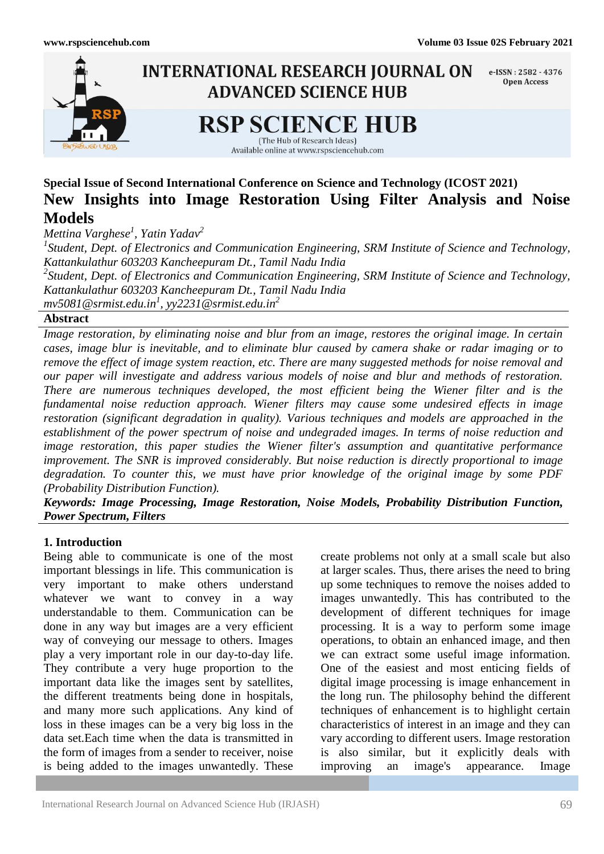

# **Special Issue of Second International Conference on Science and Technology (ICOST 2021) New Insights into Image Restoration Using Filter Analysis and Noise Models**

*Mettina Varghese<sup>1</sup> , Yatin Yadav<sup>2</sup>*

*1 Student, Dept. of Electronics and Communication Engineering, SRM Institute of Science and Technology, Kattankulathur 603203 Kancheepuram Dt., Tamil Nadu India 2 Student, Dept. of Electronics and Communication Engineering, SRM Institute of Science and Technology, Kattankulathur 603203 Kancheepuram Dt., Tamil Nadu India*

*mv5081@srmist.edu.in<sup>1</sup> , yy2231@srmist.edu.in<sup>2</sup>*

### **Abstract**

*Image restoration, by eliminating noise and blur from an image, restores the original image. In certain cases, image blur is inevitable, and to eliminate blur caused by camera shake or radar imaging or to remove the effect of image system reaction, etc. There are many suggested methods for noise removal and our paper will investigate and address various models of noise and blur and methods of restoration. There are numerous techniques developed, the most efficient being the Wiener filter and is the fundamental noise reduction approach. Wiener filters may cause some undesired effects in image restoration (significant degradation in quality). Various techniques and models are approached in the establishment of the power spectrum of noise and undegraded images. In terms of noise reduction and image restoration, this paper studies the Wiener filter's assumption and quantitative performance improvement. The SNR is improved considerably. But noise reduction is directly proportional to image degradation. To counter this, we must have prior knowledge of the original image by some PDF (Probability Distribution Function).*

*Keywords: Image Processing, Image Restoration, Noise Models, Probability Distribution Function, Power Spectrum, Filters*

#### **1. Introduction**

Being able to communicate is one of the most important blessings in life. This communication is very important to make others understand whatever we want to convey in a way understandable to them. Communication can be done in any way but images are a very efficient way of conveying our message to others. Images play a very important role in our day-to-day life. They contribute a very huge proportion to the important data like the images sent by satellites, the different treatments being done in hospitals, and many more such applications. Any kind of loss in these images can be a very big loss in the data set.Each time when the data is transmitted in the form of images from a sender to receiver, noise is being added to the images unwantedly. These

create problems not only at a small scale but also at larger scales. Thus, there arises the need to bring up some techniques to remove the noises added to images unwantedly. This has contributed to the development of different techniques for image processing. It is a way to perform some image operations, to obtain an enhanced image, and then we can extract some useful image information. One of the easiest and most enticing fields of digital image processing is image enhancement in the long run. The philosophy behind the different techniques of enhancement is to highlight certain characteristics of interest in an image and they can vary according to different users. Image restoration is also similar, but it explicitly deals with improving an image's appearance. Image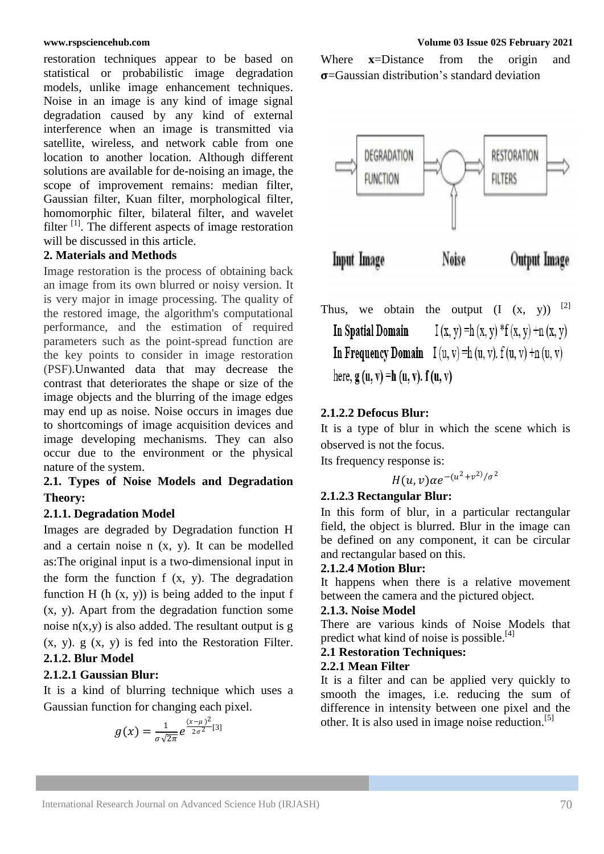restoration techniques appear to be based on statistical or probabilistic image degradation models, unlike image enhancement techniques. Noise in an image is any kind of image signal degradation caused by any kind of external interference when an image is transmitted via satellite, wireless, and network cable from one location to another location. Although different solutions are available for de-noising an image, the scope of improvement remains: median filter, Gaussian filter, Kuan filter, morphological filter, homomorphic filter, bilateral filter, and wavelet filter <sup>[1]</sup>. The different aspects of image restoration will be discussed in this article.

#### **2. Materials and Methods**

Image restoration is the process of obtaining back an image from its own blurred or noisy version. It is very major in image processing. The quality of the restored image, the algorithm's computational performance, and the estimation of required parameters such as the point-spread function are the key points to consider in image restoration (PSF).Unwanted data that may decrease the contrast that deteriorates the shape or size of the image objects and the blurring of the image edges may end up as noise. Noise occurs in images due to shortcomings of image acquisition devices and image developing mechanisms. They can also occur due to the environment or the physical nature of the system.

# **2.1. Types of Noise Models and Degradation Theory:**

#### **2.1.1. Degradation Model**

Images are degraded by Degradation function H and a certain noise n (x, y). It can be modelled as:The original input is a two-dimensional input in the form the function f (x, y). The degradation function H (h  $(x, y)$ ) is being added to the input f (x, y). Apart from the degradation function some noise  $n(x,y)$  is also added. The resultant output is g  $(x, y)$ .  $g(x, y)$  is fed into the Restoration Filter. **2.1.2. Blur Model**

#### **2.1.2.1 Gaussian Blur:**

It is a kind of blurring technique which uses a Gaussian function for changing each pixel.

$$
g(x) = \frac{1}{\sigma\sqrt{2\pi}}e^{\frac{(x-\mu)^2}{2\sigma^2}[3]}
$$

Where **x**=Distance from the origin and  $\sigma$ =Gaussian distribution's standard deviation



Thus, we obtain the output  $(I (x, y))$ <sup>[2]</sup>  $I(x, y) = h(x, y) * f(x, y) + n(x, y)$ **In Spatial Domain** In Frequency Domain I (u, v) = h (u, v).  $f(u, v) + n(u, v)$ here,  $g(u, v) = h(u, v)$ .  $f(u, v)$ 

#### **2.1.2.2 Defocus Blur:**

It is a type of blur in which the scene which is observed is not the focus.

Its frequency response is:

$$
H(u,v)\alpha e^{-(u^2+v^2)/\sigma^2}
$$

#### **2.1.2.3 Rectangular Blur:**

In this form of blur, in a particular rectangular field, the object is blurred. Blur in the image can be defined on any component, it can be circular and rectangular based on this.

#### **2.1.2.4 Motion Blur:**

It happens when there is a relative movement between the camera and the pictured object.

#### **2.1.3. Noise Model**

There are various kinds of Noise Models that predict what kind of noise is possible.<sup>[4]</sup>

#### **2.1 Restoration Techniques:**

#### **2.2.1 Mean Filter**

It is a filter and can be applied very quickly to smooth the images, i.e. reducing the sum of difference in intensity between one pixel and the other. It is also used in image noise reduction.<sup>[5]</sup>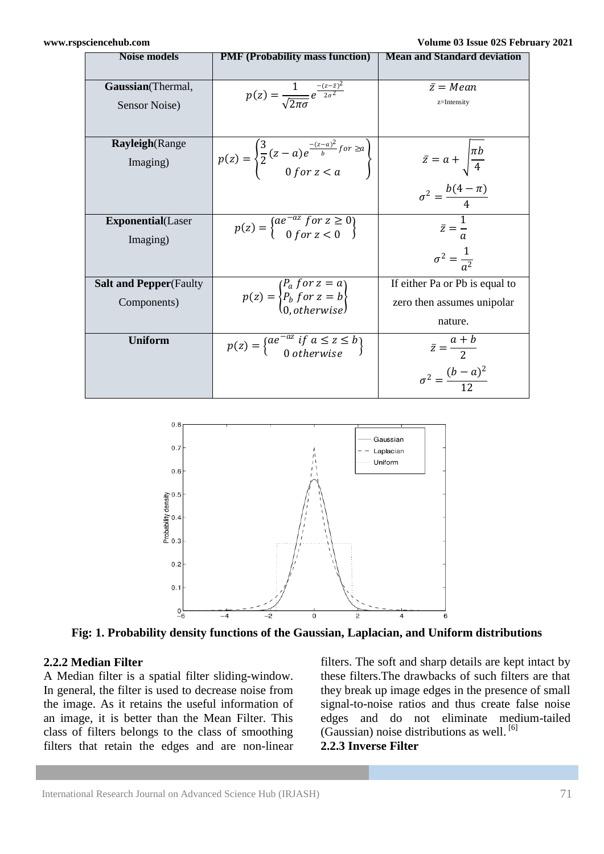| <b>Noise models</b>            | <b>PMF</b> (Probability mass function)                                                                        | <b>Mean and Standard deviation</b>     |
|--------------------------------|---------------------------------------------------------------------------------------------------------------|----------------------------------------|
|                                |                                                                                                               |                                        |
| Gaussian(Thermal,              | $p(z) = \frac{1}{\sqrt{2\pi\sigma}}e^{\frac{-(z-\bar{z})^2}{2\sigma^2}}$                                      | $\bar{z} = Mean$                       |
| Sensor Noise)                  |                                                                                                               | z=Intensity                            |
|                                |                                                                                                               |                                        |
| <b>Rayleigh</b> (Range         |                                                                                                               |                                        |
| Imaging)                       | $p(z) = \begin{cases} \frac{3}{2}(z-a)e^{\frac{-(z-a)^2}{b}}$ for $\ge a \\ 0$ for $z < a \end{cases}$        | $\bar{z} = a + \sqrt{\frac{\pi b}{4}}$ |
|                                |                                                                                                               | $\sigma^2 = \frac{b(4-\pi)}{4}$        |
| <b>Exponential</b> (Laser      |                                                                                                               |                                        |
|                                | $p(z) = \begin{cases} ae^{-az} & \text{for } z \ge 0 \\ 0 & \text{for } z < 0 \end{cases}$                    | $\bar{z} = \frac{1}{a}$                |
| Imaging)                       |                                                                                                               |                                        |
|                                |                                                                                                               | $\sigma^2 = \frac{1}{a^2}$             |
| <b>Salt and Pepper</b> (Faulty |                                                                                                               | If either Pa or Pb is equal to         |
| Components)                    | $p(z) = \begin{cases} P_a & \text{for } z = a \\ P_b & \text{for } z = b \\ 0 & \text{otherwise} \end{cases}$ | zero then assumes unipolar             |
|                                |                                                                                                               | nature.                                |
| <b>Uniform</b>                 | $p(z) = \begin{cases} ae^{-az} & \text{if } a \leq z \leq b \\ 0 & \text{otherwise} \end{cases}$              | $\bar{z} = \frac{a+b}{2}$              |
|                                |                                                                                                               | $\sigma^2 = \frac{(b-a)^2}{4a}$        |



**Fig: 1. Probability density functions of the Gaussian, Laplacian, and Uniform distributions**

#### **2.2.2 Median Filter**

A Median filter is a spatial filter sliding-window. In general, the filter is used to decrease noise from the image. As it retains the useful information of an image, it is better than the Mean Filter. This class of filters belongs to the class of smoothing filters that retain the edges and are non-linear

filters. The soft and sharp details are kept intact by these filters.The drawbacks of such filters are that they break up image edges in the presence of small signal-to-noise ratios and thus create false noise edges and do not eliminate medium-tailed (Gaussian) noise distributions as well. [6] **2.2.3 Inverse Filter**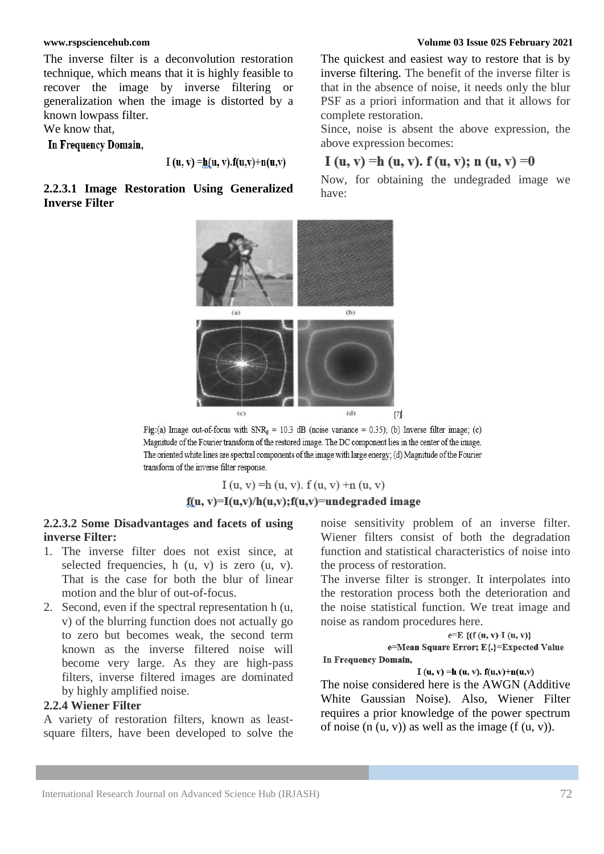The inverse filter is a deconvolution restoration technique, which means that it is highly feasible to recover the image by inverse filtering or generalization when the image is distorted by a known lowpass filter.

We know that,

In Frequency Domain,

I (u, v) = h(u, v). f(u, v) + n(u, v)

#### **2.2.3.1 Image Restoration Using Generalized Inverse Filter**

The quickest and easiest way to restore that is by inverse filtering. The benefit of the inverse filter is that in the absence of noise, it needs only the blur PSF as a priori information and that it allows for complete restoration.

Since, noise is absent the above expression, the above expression becomes:

# I (u, v) = h (u, v). f (u, v); n (u, v) = 0

Now, for obtaining the undegraded image we have:



Fig:(a) Image out-of-focus with  $SNR_g = 10.3$  dB (noise variance = 0.35); (b) Inverse filter image; (c) Magnitude of the Fourier transform of the restored image. The DC component lies in the center of the image. The oriented white lines are spectral components of the image with large energy; (d) Magnitude of the Fourier transform of the inverse filter response.

# $I(u, v) = h(u, v)$ .  $f(u, v) + n(u, v)$  $f(u, v)=I(u, v)/h(u, v); f(u, v)=$ undegraded image

#### **2.2.3.2 Some Disadvantages and facets of using inverse Filter:**

- 1. The inverse filter does not exist since, at selected frequencies, h (u, v) is zero (u, v). That is the case for both the blur of linear motion and the blur of out-of-focus.
- 2. Second, even if the spectral representation h (u, v) of the blurring function does not actually go to zero but becomes weak, the second term known as the inverse filtered noise will become very large. As they are high-pass filters, inverse filtered images are dominated by highly amplified noise.

# **2.2.4 Wiener Filter**

A variety of restoration filters, known as leastsquare filters, have been developed to solve the noise sensitivity problem of an inverse filter. Wiener filters consist of both the degradation function and statistical characteristics of noise into the process of restoration.

The inverse filter is stronger. It interpolates into the restoration process both the deterioration and the noise statistical function. We treat image and noise as random procedures here.

```
e=E\{(f(u, v)-I(u, v)\})e=Mean Square Error; E{.}=Expected Value
In Frequency Domain,
```
I (u, v) = h (u, v).  $f(u, v) + n(u, v)$ 

The noise considered here is the AWGN (Additive White Gaussian Noise). Also, Wiener Filter requires a prior knowledge of the power spectrum of noise  $(n (u, v))$  as well as the image  $(f (u, v))$ .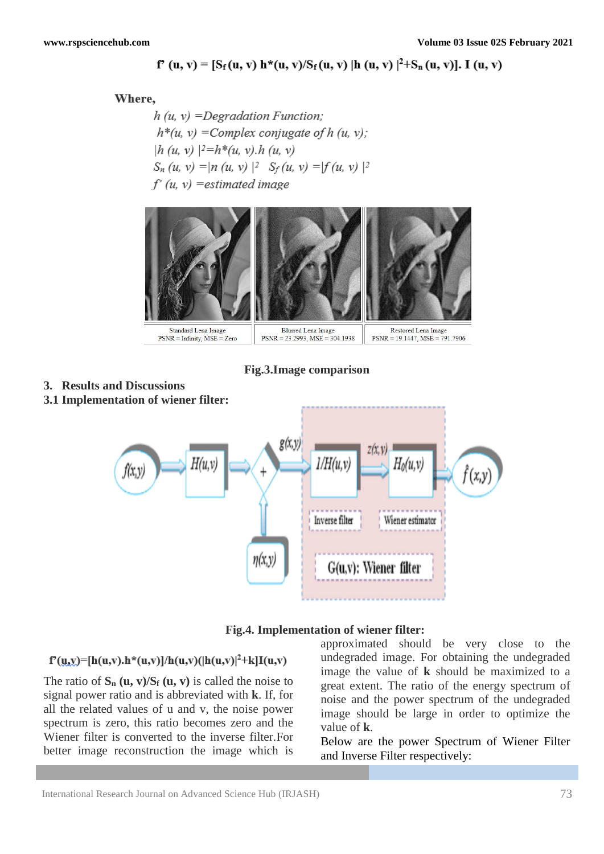# $f'(u, v) = [S_f(u, v) h^*(u, v)/S_f(u, v)] h(u, v) |^2 + S_n(u, v)].$  I  $(u, v)$

#### Where.

**3. Results and Discussions**

 $h(u, v) =$ Degradation Function;  $h^*(u, v)$  = Complex conjugate of h (u, v);  $|h (u, v)|^2 = h*(u, v) \cdot h (u, v)$  $S_n(u, v) = |n(u, v)|^2$   $S_f(u, v) = |f(u, v)|^2$  $f'(u, v)$  = estimated image



**Fig.3.Image comparison**

# **3.1 Implementation of wiener filter:**  $g(x,y)$ zíx.v) 1/H(u.v)  $H_{0}(u, v$ f(x,y Inverse filter Wiener estimator  $\eta(x,y)$ G(u,v): Wiener filter

#### **Fig.4. Implementation of wiener filter:**

# $f'(u,y) = [h(u,v), h^*(u,v)]/h(u,v)(|h(u,v)|^2 + k]I(u,v)$

The ratio of  $S_n$  (**u**, **v**)/ $S_f$  (**u**, **v**) is called the noise to signal power ratio and is abbreviated with **k**. If, for all the related values of u and v, the noise power spectrum is zero, this ratio becomes zero and the Wiener filter is converted to the inverse filter.For better image reconstruction the image which is

approximated should be very close to the undegraded image. For obtaining the undegraded image the value of **k** should be maximized to a great extent. The ratio of the energy spectrum of noise and the power spectrum of the undegraded image should be large in order to optimize the value of **k**.

Below are the power Spectrum of Wiener Filter and Inverse Filter respectively: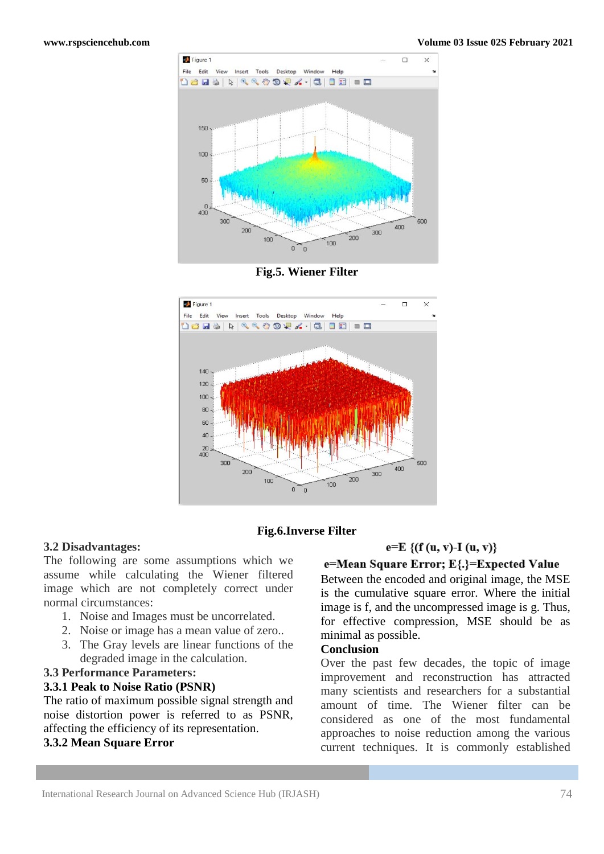

**Fig.5. Wiener Filter** 



#### **Fig.6.Inverse Filter**

#### **3.2 Disadvantages:**

The following are some assumptions which we assume while calculating the Wiener filtered image which are not completely correct under normal circumstances:

- 1. Noise and Images must be uncorrelated.
- 2. Noise or image has a mean value of zero..
- 3. The Gray levels are linear functions of the degraded image in the calculation.

### **3.3 Performance Parameters:**

#### **3.3.1 Peak to Noise Ratio (PSNR)**

The ratio of maximum possible signal strength and noise distortion power is referred to as PSNR, affecting the efficiency of its representation.

#### **3.3.2 Mean Square Error**

### $e=E \{(f(u, v)-I(u, v)\})$

### e=Mean Square Error; E{.}=Expected Value

Between the encoded and original image, the MSE is the cumulative square error. Where the initial image is f, and the uncompressed image is g. Thus, for effective compression, MSE should be as minimal as possible.

### **Conclusion**

Over the past few decades, the topic of image improvement and reconstruction has attracted many scientists and researchers for a substantial amount of time. The Wiener filter can be considered as one of the most fundamental approaches to noise reduction among the various current techniques. It is commonly established